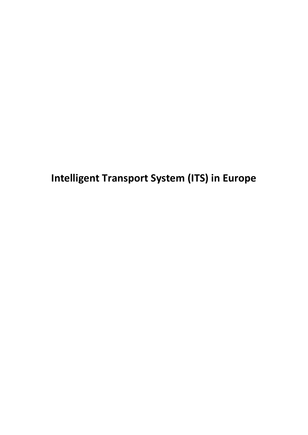**Intelligent Transport System (ITS) in Europe**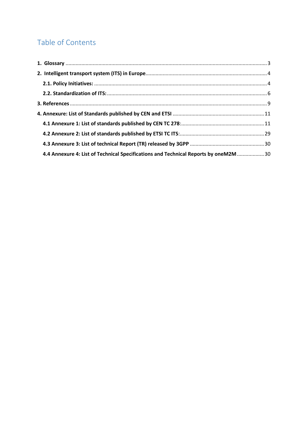# Table of Contents

| 4.4 Annexure 4: List of Technical Specifications and Technical Reports by oneM2M  30 |  |
|--------------------------------------------------------------------------------------|--|
|                                                                                      |  |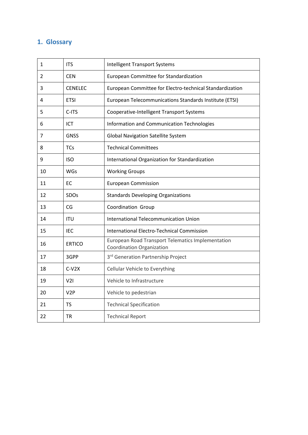## <span id="page-2-0"></span>**1. Glossary**

| 1  | <b>ITS</b>       | <b>Intelligent Transport Systems</b>                                                         |
|----|------------------|----------------------------------------------------------------------------------------------|
| 2  | <b>CEN</b>       | European Committee for Standardization                                                       |
| 3  | <b>CENELEC</b>   | European Committee for Electro-technical Standardization                                     |
| 4  | <b>ETSI</b>      | European Telecommunications Standards Institute (ETSI)                                       |
| 5  | C-ITS            | Cooperative-Intelligent Transport Systems                                                    |
| 6  | ICT              | Information and Communication Technologies                                                   |
| 7  | <b>GNSS</b>      | <b>Global Navigation Satellite System</b>                                                    |
| 8  | <b>TCs</b>       | <b>Technical Committees</b>                                                                  |
| 9  | <b>ISO</b>       | International Organization for Standardization                                               |
| 10 | <b>WGs</b>       | <b>Working Groups</b>                                                                        |
| 11 | EC               | <b>European Commission</b>                                                                   |
| 12 | <b>SDOs</b>      | <b>Standards Developing Organizations</b>                                                    |
| 13 | CG               | <b>Coordination Group</b>                                                                    |
| 14 | <b>ITU</b>       | <b>International Telecommunication Union</b>                                                 |
| 15 | IEC              | <b>International Electro-Technical Commission</b>                                            |
| 16 | <b>ERTICO</b>    | <b>European Road Transport Telematics Implementation</b><br><b>Coordination Organization</b> |
| 17 | 3GPP             | 3rd Generation Partnership Project                                                           |
| 18 | $C-V2X$          | Cellular Vehicle to Everything                                                               |
| 19 | V21              | Vehicle to Infrastructure                                                                    |
| 20 | V <sub>2</sub> P | Vehicle to pedestrian                                                                        |
| 21 | <b>TS</b>        | <b>Technical Specification</b>                                                               |
| 22 | <b>TR</b>        | <b>Technical Report</b>                                                                      |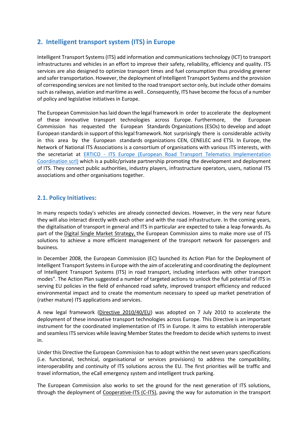## <span id="page-3-0"></span>**2. Intelligent transport system (ITS) in Europe**

Intelligent Transport Systems (ITS) add information and communications technology (ICT) to transport infrastructures and vehicles in an effort to improve their safety, reliability, efficiency and quality. ITS services are also designed to optimize transport times and fuel consumption thus providing greener and safer transportation. However, the deployment of Intelligent Transport Systems and the provision of corresponding services are not limited to the road transport sector only, but include other domains such as railways, aviation and maritime as well.. Consequently, ITS have become the focus of a number of policy and legislative initiatives in Europe.

The European Commission has laid down the legal framework in order to accelerate the deployment of these innovative transport technologies across Europe. Furthermore, the European Commission has requested the European Standards Organizations (ESOs) to develop and adopt European standards in support of this legal framework. Not surprisingly there is considerable activity in this area by the European standards organizations CEN, CENELEC and ETSI. In Europe, the Network of National ITS Associations is a consortium of organisations with various ITS interests, with the secretariat at ERTICO - [ITS Europe \(European Road Transport Telematics Implementation](http://ertico.com/)  [Coordination scrl\)](http://ertico.com/) which is a public/private partnership promoting the development and deployment of ITS. They connect public authorities, industry players, infrastructure operators, users, national ITS associations and other organisations together.

### <span id="page-3-1"></span>**2.1. Policy Initiatives:**

In many respects today's vehicles are already connected devices. However, in the very near future they will also interact directly with each other and with the road infrastructure. In the coming years, the digitalisation of transport in general and ITS in particular are expected to take a leap forwards. As part of the [Digital Single Market Strategy,](http://ec.europa.eu/priorities/digital-single-market/) the European Commission aims to make more use of ITS solutions to achieve a more efficient management of the transport network for passengers and business.

In December 2008, the European Commission (EC) launched its Action Plan for the Deployment of Intelligent Transport Systems in Europe with the aim of accelerating and coordinating the deployment of Intelligent Transport Systems (ITS) in road transport, including interfaces with other transport modes". The Action Plan suggested a number of targeted actions to unlock the full potential of ITS in serving EU policies in the field of enhanced road safety, improved transport efficiency and reduced environmental impact and to create the momentum necessary to speed up market penetration of (rather mature) ITS applications and services.

A new legal framework [\(Directive 2010/40/EU\)](http://eur-lex.europa.eu/legal-content/EN/TXT/?uri=CELEX:32010L0040) was adopted on 7 July 2010 to accelerate the deployment of these innovative transport technologies across Europe. This Directive is an important instrument for the coordinated implementation of ITS in Europe. It aims to establish interoperable and seamless ITS services while leaving Member States the freedom to decide which systems to invest in.

Under this Directive the European Commission has to adopt within the next seven years specifications (i.e. functional, technical, organisational or services provisions) to address the compatibility, interoperability and continuity of ITS solutions across the EU. The first priorities will be traffic and travel information, the eCall emergency system and intelligent truck parking.

The European Commission also works to set the ground for the next generation of ITS solutions, through the deployment of [Cooperative-ITS \(C-ITS\),](https://ec.europa.eu/transport/themes/its/c-its_en) paving the way for automation in the transport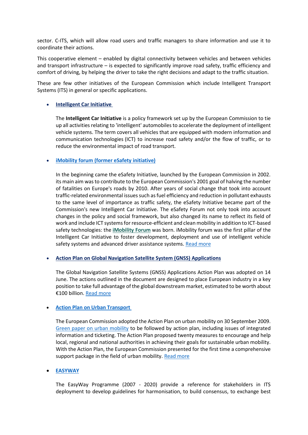sector. C-ITS, which will allow road users and traffic managers to share information and use it to coordinate their actions.

This cooperative element – enabled by digital connectivity between vehicles and between vehicles and transport infrastructure – is expected to significantly improve road safety, traffic efficiency and comfort of driving, by helping the driver to take the right decisions and adapt to the traffic situation.

These are few other initiatives of the European Commission which include Intelligent Transport Systems (ITS) in general or specific applications.

#### • **[Intelligent Car Initiative](https://www.lu.lv/materiali/biblioteka/es/pilnieteksti/transports/i2010.%20Intelligent%20car.pdf)**

The **Intelligent Car Initiative** is a policy framework set up by the European Commission to tie up all activities relating to 'intelligent' automobiles to accelerate the deployment of intelligent vehicle systems. The term covers all vehicles that are equipped with modern information and communication technologies (ICT) to increase road safety and/or the flow of traffic, or to reduce the environmental impact of road transport.

#### • **iMobility forum [\(former eSafety initiative\)](http://151.100.8.128/en/research/network/imobility-forum)**

In the beginning came the eSafety Initiative, launched by the European Commission in 2002. its main aim was to contribute to the European Commission's 2001 goal of halving the number of fatalities on Europe's roads by 2010. After years of social change that took into account traffic-related environmental issues such as fuel efficiency and reduction in pollutant exhausts to the same level of importance as traffic safety, the eSafety Initiative became part of the Commission's new Intelligent Car Initiative. The eSafety Forum not only took into account changes in the policy and social framework, but also changed its name to reflect its field of work and include ICT systems for resource-efficient and clean mobility in addition to ICT-based safety technologies: the **[iMobility](http://www.imobilitysupport.eu/imobility-forum/fin-rep) Forum** was born. iMobility forum was the first pillar of the Intelligent Car Initiative to foster development, deployment and use of intelligent vehicle safety systems and advanced driver assistance systems. [Read more](http://151.100.8.128/en/research/network/imobility-forum)

#### • **[Action Plan on Global Navigation Satellite System \(GNSS\)](https://eur-lex.europa.eu/LexUriServ/LexUriServ.do?uri=COM:2010:0308:FIN:EN:PDF) Applications**

The Global Navigation Satellite Systems (GNSS) Applications Action Plan was adopted on 14 June. The actions outlined in the document are designed to place European industry in a key position to take full advantage of the global downstream market, estimated to be worth about €100 billion. [Read more](https://eur-lex.europa.eu/LexUriServ/LexUriServ.do?uri=COM:2010:0308:FIN:EN:PDF)

#### • **[Action Plan on Urban Transport](https://ec.europa.eu/transport/themes/urban/urban_mobility/action_plan_en)**

The European Commission adopted the Action Plan on urban mobility on 30 September 2009. [Green paper on urban mobility](https://ec.europa.eu/transport/themes/urban/urban_mobility/green_paper_en) to be followed by action plan, including issues of integrated information and ticketing. The Action Plan proposed twenty measures to encourage and help local, regional and national authorities in achieving their goals for sustainable urban mobility. With the Action Plan, the European Commission presented for the first time a comprehensive support package in the field of urban mobility. [Read more](https://ec.europa.eu/transport/themes/urban/urban_mobility/action_plan_en)

#### • **[EASYWAY](https://www.its-platform.eu/highlights/easyway-programme-2007-2020-and-its-projects)**

The EasyWay Programme (2007 - 2020) provide a reference for stakeholders in ITS deployment to develop guidelines for harmonisation, to build consensus, to exchange best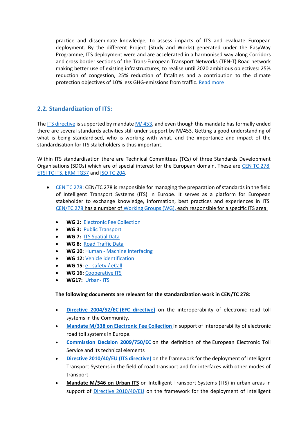practice and disseminate knowledge, to assess impacts of ITS and evaluate European deployment. By the different Project (Study and Works) generated under the EasyWay Programme, ITS deployment were and are accelerated in a harmonised way along Corridors and cross border sections of the Trans-European Transport Networks (TEN-T) Road network making better use of existing infrastructures, to realise until 2020 ambitious objectives: 25% reduction of congestion, 25% reduction of fatalities and a contribution to the climate protection objectives of 10% less GHG-emissions from traffic. [Read more](https://www.its-platform.eu/highlights/easyway-programme-2007-2020-and-its-projects)

### <span id="page-5-0"></span>**2.2. Standardization of ITS:**

The [ITS directive](https://ec.europa.eu/transport/themes/its/road/action_plan_en) is supported by mandate [M/ 453,](http://ec.europa.eu/growth/tools-databases/mandates/index.cfm?fuseaction=search.detail&id=434) and even though this mandate has formally ended there are several standards activities still under support by M/453. Getting a good understanding of what is being standardised, who is working with what, and the importance and impact of the standardisation for ITS stakeholders is thus important.

Within ITS standardisation there are Technical Committees (TCs) of three Standards Development Organisations (SDOs) which are of special interest for the European domain. These are [CEN TC 278,](http://www.itsstandards.eu/) [ETSI TC ITS,](http://www.etsi.org/technologies-clusters/technologies/automotive-intelligent-transport) ERM TG37 an[d ISO TC 204.](https://www.iso.org/committee/54706.html)

- [CEN TC 278:](http://www.itsstandards.eu/) CEN/TC 278 is responsible for managing the preparation of standards in the field of Intelligent Transport Systems (ITS) in Europe. It serves as a platform for European stakeholder to exchange knowledge, information, best practices and experiences in ITS. [CEN/TC 278](http://www.itsstandards.eu/tc278) has a number o[f Working Groups \(WG\),](http://www.itsstandards.eu/wgs) each responsible for a specific ITS area:
	- **WG 1: [Electronic Fee Collection](http://www.itsstandards.eu/efc)**
	- **WG 3:** [Public Transport](http://www.itsstandards.eu/pt)
	- **WG 7:** [ITS Spatial Data](http://www.itsstandards.eu/spatial-data)
	- **WG 8:** [Road Traffic Data](http://www.itsstandards.eu/rtd)
	- **WG 10**: Human [Machine Interfacing](http://www.itsstandards.eu/hmi)
	- **WG 12:** [Vehicle identification](http://www.itsstandards.eu/avi)
	- **WG 15**: e [safety / eCall](http://www.itsstandards.eu/ecall)
	- **WG 16:** [Cooperative ITS](http://www.itsstandards.eu/cits)
	- **WG17:** [Urban-](http://www.itsstandards.eu/urban-its) ITS

#### **The following documents are relevant for the standardization work in CEN/TC 278:**

- **[Directive 2004/52/EC](https://eur-lex.europa.eu/LexUriServ/LexUriServ.do?uri=OJ:L:2004:200:0050:0057:EN:PDF) (EFC directive)** on the interoperability of electronic road toll systems in the Community.
- **Mandate M/338 [on Electronic Fee Collection](http://ec.europa.eu/growth/tools-databases/mandates/index.cfm?fuseaction=search.detail&id=216)** in support of Interoperability of electronic road toll systems in Europe.
- **[Commission Decision 2009/750/EC](https://eur-lex.europa.eu/eli/dec/2009/750/oj)** on the definition of the European Electronic Toll Service and its technical elements
- **[Directive 2010/40/EU](https://eur-lex.europa.eu/LexUriServ/LexUriServ.do?uri=OJ:L:2010:207:0001:0013:EN:PDF) (ITS directive)** on the framework for the deployment of Intelligent Transport Systems in the field of road transport and for interfaces with other modes of transport
- **[Mandate M/546 on Urban ITS](http://ec.europa.eu/growth/tools-databases/mandates/index.cfm?fuseaction=search.detail&id=568)** on Intelligent Transport Systems (ITS) in urban areas in support of [Directive 2010/40/EU](https://eur-lex.europa.eu/LexUriServ/LexUriServ.do?uri=OJ:L:2010:207:0001:0013:EN:PDF) on the framework for the deployment of Intelligent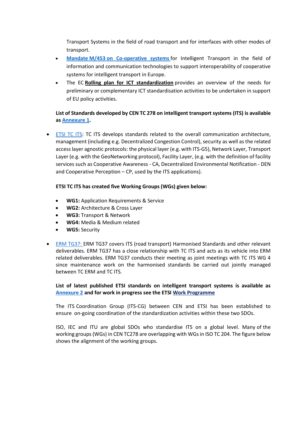Transport Systems in the field of road transport and for interfaces with other modes of transport.

- **Mandate M/453 [on Co-operative systems](http://ec.europa.eu/growth/tools-databases/mandates/index.cfm?fuseaction=search.detail&id=434)** for Intelligent Transport in the field of information and communication technologies to support interoperability of cooperative systems for intelligent transport in Europe.
- The EC **[Rolling plan for ICT standardization](https://ec.europa.eu/digital-single-market/en/news/rolling-plan-ict-standardisation-0)** provides an overview of the needs for preliminary or complementary ICT standardisation activities to be undertaken in support of EU policy activities.

### **List of Standards developed by CEN TC 278 on intelligent transport systems (ITS) is available as [Annexure 1.](#page-10-1)**

• [ETSI TC ITS:](http://www.etsi.org/technologies-clusters/technologies/automotive-intelligent-transport) TC ITS develops standards related to the overall communication architecture, management (including e.g. Decentralized Congestion Control), security as well as the related access layer agnostic protocols: the physical layer (e.g. with ITS-G5), Network Layer, Transport Layer (e.g. with the GeoNetworking protocol), Facility Layer, (e.g. with the definition of facility services such as Cooperative Awareness - CA, Decentralized Environmental Notification - DEN and Cooperative Perception – CP, used by the ITS applications).

#### **ETSI TC ITS has created five Working Groups (WGs) given below:**

- **WG1:** Application Requirements & Service
- **WG2:** Architecture & Cross Layer
- **WG3:** Transport & Network
- **WG4:** Media & Medium related
- **WG5:** Security
- [ERM TG37:](https://portal.etsi.org/tbsitemap/erm/ermtor/ermtg37tor.aspx) ERM TG37 covers ITS (road transport) Harmonised Standards and other relevant deliverables. ERM TG37 has a close relationship with TC ITS and acts as its vehicle into ERM related deliverables. ERM TG37 conducts their meeting as joint meetings with TC ITS WG 4 since maintenance work on the harmonised standards be carried out jointly managed between TC ERM and TC ITS.

#### **List of latest published ETSI standards on intelligent transport systems is available as [Annexure 2](#page-28-0) and for work in progress see the ETSI Work [Programme](https://portal.etsi.org/webapp/WorkProgram/Frame_WorkItemList.asp?SearchPage=TRUE&butExpertSearch=++Search++&qETSI_STANDARD_TYPE=&qETSI_NUMBER=&qTB_ID=620%3BERM+TG37&qTB_ID=702%3BITS&qTB_ID=707%3BITS+WG1&qTB_ID=708%3BITS+WG2&qTB_ID=709%3BITS+WG3&qTB_ID=710%3BITS+WG4&qTB_ID=711%3BITS+WG5&qINCLUDE_SUB_TB=True&includeNonActiveTB=FALSE&qWKI_REFERENCE=&qTITLE=&qSCOPE=&qCURRENT_STATE_CODE=&qSTOP_FLG=N&qSTART_CURRENT_STATUS_CODE=0%3BM40&qEND_CURRENT_STATUS_CODE=9+AB%3BN24&qFROM_MIL_DAY=&qFROM_MIL_MONTH=&qFROM_MIL_YEAR=&qTO_MIL_DAY=&qTO_MIL_MONTH=&qTO_MIL_YEAR=&qOPERATOR_TS=&qRAPTR_NAME=&qRAPTR_ORGANISATION=&qKEYWORD_BOOLEAN=OR&qKEYWORD=&qPROJECT_BOOLEAN=OR&qPROJECT_CODE=&includeSubProjectCode=FALSE&qSTF_List=&qDIRECTIVE=&qMandate_List=&qCLUSTER_BOOLEAN=OR&qCLUSTER=&qFREQUENCIES_BOOLEAN=OR&qFREQUENCIES=&qFreqLow=&qFreqLowUnit=1000&qFreqHigh=&qFreqHighUnit=1000&qSORT=HIGHVERSION&qREPORT_TYPE=SUMMARY&optDisplay=10&titleType=all)**

The ITS Coordination Group (ITS-CG) between CEN and ETSI has been established to ensure on-going coordination of the standardization activities within these two SDOs.

ISO, IEC and ITU are global SDOs who standardise ITS on a global level. Many of the working groups (WGs) in CEN TC278 are overlapping with WGs in ISO TC 204. The figure below shows the alignment of the working groups.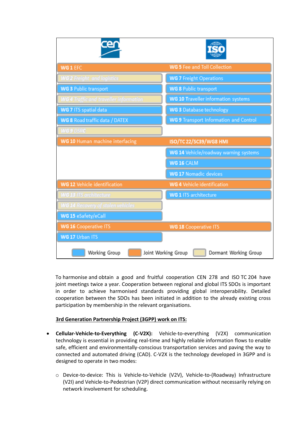| WG 1 EFC                                      | <b>WG 5 Fee and Toll Collection</b>           |
|-----------------------------------------------|-----------------------------------------------|
| <b>WG 2 Freight and logistics</b>             | <b>WG 7 Freight Operations</b>                |
| <b>WG 3 Public transport</b>                  | <b>WG 8 Public transport</b>                  |
| <b>WG 4</b> Traffic and traveller information | <b>WG 10 Traveller information systems</b>    |
| WG 7 ITS spatial data                         | WG 3 Database technology                      |
| WG 8 Road traffic data / DATEX                | <b>WG 9 Transport Information and Control</b> |
| WG 9 DSRC                                     |                                               |
| WG 10 Human machine interfacing               | ISO/TC 22/SC39/WG8 HMI                        |
|                                               | WG 14 Vehicle/roadway warning systems         |
|                                               | WG 16 CALM                                    |
|                                               | <b>WG 17 Nomadic devices</b>                  |
| <b>WG 12 Vehicle identification</b>           | <b>WG 4 Vehicle identification</b>            |
| <b>WG 13 ITS architecture</b>                 | <b>WG 1 ITS architecture</b>                  |
| VG 14 Recovery of stolen vehicles             |                                               |
| WG 15 eSafety/eCall                           |                                               |
| <b>WG 16 Cooperative ITS</b>                  | <b>WG 18 Cooperative ITS</b>                  |
| WG 17 Urban ITS                               |                                               |
| Working Group                                 | Joint Working Group<br>Dormant Working Group  |

To harmonise and obtain a good and fruitful cooperation CEN 278 and ISO TC 204 have joint meetings twice a year. Cooperation between regional and global ITS SDOs is important in order to achieve harmonised standards providing global interoperability. Detailed cooperation between the SDOs has been initiated in addition to the already existing cross participation by membership in the relevant organisations.

#### **3rd Generation Partnership Project (3GPP) work on ITS:**

- **Cellular-Vehicle-to-Everything (C-V2X):** Vehicle-to-everything (V2X) communication technology is essential in providing real-time and highly reliable information flows to enable safe, efficient and environmentally-conscious transportation services and paving the way to connected and automated driving (CAD). C-V2X is the technology developed in 3GPP and is designed to operate in two modes:
	- o Device-to-device: This is Vehicle-to-Vehicle (V2V), Vehicle-to-(Roadway) Infrastructure (V2I) and Vehicle-to-Pedestrian (V2P) direct communication without necessarily relying on network involvement for scheduling.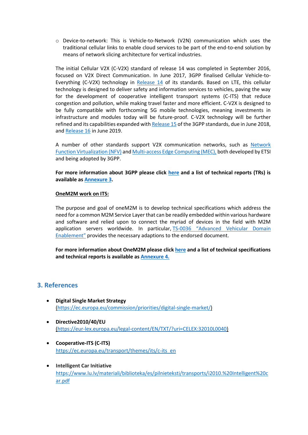o Device-to-network: This is Vehicle-to-Network (V2N) communication which uses the traditional cellular links to enable cloud services to be part of the end-to-end solution by means of network slicing architecture for vertical industries.

The initial Cellular V2X (C-V2X) standard of release 14 was completed in September 2016, focused on V2X Direct Communication. In June 2017, 3GPP finalised Cellular Vehicle-to-Everything (C-V2X) technology in [Release 14](http://www.3gpp.org/release-14) of its standards. Based on LTE, this cellular technology is designed to deliver safety and information services to vehicles, paving the way for the development of cooperative intelligent transport systems (C-ITS) that reduce congestion and pollution, while making travel faster and more efficient. C-V2X is designed to be fully compatible with forthcoming 5G mobile technologies, meaning investments in infrastructure and modules today will be future-proof. C-V2X technology will be further refined and its capabilities expanded wit[h Release 15](http://www.3gpp.org/release-15) of the 3GPP standards, due in June 2018, and [Release 16](http://www.3gpp.org/release-16) in June 2019.

A number of other standards support V2X communication networks, such as [Network](https://www.etsi.org/technologies-clusters/technologies/nfv)  [Function Virtualization \(NFV\)](https://www.etsi.org/technologies-clusters/technologies/nfv) an[d Multi-access Edge Computing \(MEC\),](https://www.etsi.org/technologies-clusters/technologies/multi-access-edge-computing) both developed by ETSI and being adopted by 3GPP.

**For more information about 3GPP please click [here](http://www.3gpp.org/about-3gpp) and a list of technical reports (TRs) is available as [Annexure 3.](#page-29-0)** 

#### **OneM2M work on ITS:**

The purpose and goal of oneM2M is to develop technical specifications which address the need for a common M2M Service Layer that can be readily embedded within various hardware and software and relied upon to connect the myriad of devices in the field with M2M application servers worldwide. In particular, TS-0036 "[Advanced](http://www.onem2m.org/component/rsfiles/download-file/files?path=Release_3_Draft_TS%255CTS-0036-Advanced_Vehicular_Domain_Enablement-V0_0_1.doc) Vehicular Domain [Enablement"](http://www.onem2m.org/component/rsfiles/download-file/files?path=Release_3_Draft_TS%255CTS-0036-Advanced_Vehicular_Domain_Enablement-V0_0_1.doc) provides the necessary adaptions to the endorsed document.

**For more information about OneM2M please clic[k here](http://www.onem2m.org/) and a list of technical specifications and technical reports is available as [Annexure 4.](#page-29-1)**

### <span id="page-8-0"></span>**3. References**

- **Digital Single Market Strategy** [\(https://ec.europa.eu/commission/priorities/digital-single-market/\)](https://ec.europa.eu/commission/priorities/digital-single-market/)
- **Directive2010/40/EU** [\(https://eur-lex.europa.eu/legal-content/EN/TXT/?uri=CELEX:32010L0040\)](https://eur-lex.europa.eu/legal-content/EN/TXT/?uri=CELEX:32010L0040)
- **Cooperative-ITS (C-ITS)** [https://ec.europa.eu/transport/themes/its/c-its\\_en](https://ec.europa.eu/transport/themes/its/c-its_en)
- **Intelligent Car Initiative** [https://www.lu.lv/materiali/biblioteka/es/pilnieteksti/transports/i2010.%20Intelligent%20c](https://www.lu.lv/materiali/biblioteka/es/pilnieteksti/transports/i2010.%20Intelligent%20car.pdf) [ar.pdf](https://www.lu.lv/materiali/biblioteka/es/pilnieteksti/transports/i2010.%20Intelligent%20car.pdf)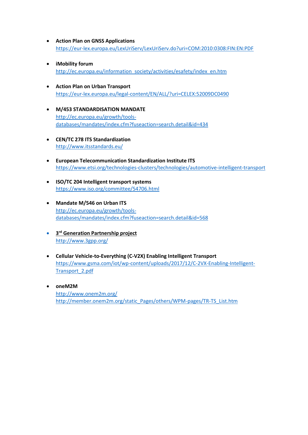- **Action Plan on GNSS Applications** <https://eur-lex.europa.eu/LexUriServ/LexUriServ.do?uri=COM:2010:0308:FIN:EN:PDF>
- **iMobility forum** [http://ec.europa.eu/information\\_society/activities/esafety/index\\_en.htm](http://ec.europa.eu/information_society/activities/esafety/index_en.htm)
- **Action Plan on Urban Transport** <https://eur-lex.europa.eu/legal-content/EN/ALL/?uri=CELEX:52009DC0490>
- **M/453 STANDARDISATION MANDATE** [http://ec.europa.eu/growth/tools](http://ec.europa.eu/growth/tools-databases/mandates/index.cfm?fuseaction=search.detail&id=434)[databases/mandates/index.cfm?fuseaction=search.detail&id=434](http://ec.europa.eu/growth/tools-databases/mandates/index.cfm?fuseaction=search.detail&id=434)
- **CEN/TC 278 ITS Standardization** <http://www.itsstandards.eu/>
- **European Telecommunication Standardization Institute ITS** <https://www.etsi.org/technologies-clusters/technologies/automotive-intelligent-transport>
- **ISO/TC 204 Intelligent transport systems** <https://www.iso.org/committee/54706.html>
- **Mandate M/546 on Urban ITS** [http://ec.europa.eu/growth/tools](http://ec.europa.eu/growth/tools-databases/mandates/index.cfm?fuseaction=search.detail&id=568)[databases/mandates/index.cfm?fuseaction=search.detail&id=568](http://ec.europa.eu/growth/tools-databases/mandates/index.cfm?fuseaction=search.detail&id=568)
- **3 rd Generation Partnership project** <http://www.3gpp.org/>
- **Cellular Vehicle-to-Everything (C-V2X) Enabling Intelligent Transport** [https://www.gsma.com/iot/wp-content/uploads/2017/12/C-2VX-Enabling-Intelligent-](https://www.gsma.com/iot/wp-content/uploads/2017/12/C-2VX-Enabling-Intelligent-Transport_2.pdf)[Transport\\_2.pdf](https://www.gsma.com/iot/wp-content/uploads/2017/12/C-2VX-Enabling-Intelligent-Transport_2.pdf)
- **oneM2M** <http://www.onem2m.org/> [http://member.onem2m.org/static\\_Pages/others/WPM-pages/TR-TS\\_List.htm](http://member.onem2m.org/static_Pages/others/WPM-pages/TR-TS_List.htm)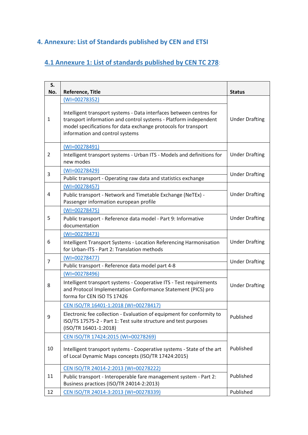# <span id="page-10-0"></span>**4. Annexure: List of Standards published by CEN and ETSI**

# <span id="page-10-1"></span>**4.1 Annexure 1: List of standards published by CEN TC 278**:

| S.<br>No. | <b>Reference, Title</b>                                                                                                                                                                                                                      | <b>Status</b>         |
|-----------|----------------------------------------------------------------------------------------------------------------------------------------------------------------------------------------------------------------------------------------------|-----------------------|
|           | $(WI = 00278352)$                                                                                                                                                                                                                            |                       |
| 1         | Intelligent transport systems - Data interfaces between centres for<br>transport information and control systems - Platform independent<br>model specifications for data exchange protocols for transport<br>information and control systems | <b>Under Drafting</b> |
|           | $(WI = 00278491)$                                                                                                                                                                                                                            |                       |
| 2         | Intelligent transport systems - Urban ITS - Models and definitions for<br>new modes                                                                                                                                                          | <b>Under Drafting</b> |
| 3         | (WI=00278429)                                                                                                                                                                                                                                | <b>Under Drafting</b> |
|           | Public transport - Operating raw data and statistics exchange                                                                                                                                                                                |                       |
|           | $(WI = 00278457)$                                                                                                                                                                                                                            |                       |
| 4         | Public transport - Network and Timetable Exchange (NeTEx) -<br>Passenger information european profile                                                                                                                                        | <b>Under Drafting</b> |
|           | $(WI = 00278475)$                                                                                                                                                                                                                            |                       |
| 5         | Public transport - Reference data model - Part 9: Informative<br>documentation                                                                                                                                                               | <b>Under Drafting</b> |
|           | $(WI=00278473)$                                                                                                                                                                                                                              |                       |
| 6         | Intelligent Transport Systems - Location Referencing Harmonisation<br>for Urban-ITS - Part 2: Translation methods                                                                                                                            | <b>Under Drafting</b> |
|           | $(WI=00278477)$                                                                                                                                                                                                                              |                       |
| 7         | Public transport - Reference data model part 4-8                                                                                                                                                                                             | <b>Under Drafting</b> |
|           | $(WI = 00278496)$                                                                                                                                                                                                                            |                       |
| 8         | Intelligent transport systems - Cooperative ITS - Test requirements<br>and Protocol Implementation Conformance Statement (PICS) pro<br>forma for CEN ISO TS 17426                                                                            | <b>Under Drafting</b> |
|           | CEN ISO/TR 16401-1:2018 (WI=00278417)                                                                                                                                                                                                        |                       |
| 9         | Electronic fee collection - Evaluation of equipment for conformity to<br>ISO/TS 17575-2 - Part 1: Test suite structure and test purposes<br>(ISO/TR 16401-1:2018)                                                                            | Published             |
|           | CEN ISO/TR 17424:2015 (WI=00278269)                                                                                                                                                                                                          |                       |
| 10        | Intelligent transport systems - Cooperative systems - State of the art<br>of Local Dynamic Maps concepts (ISO/TR 17424:2015)                                                                                                                 | Published             |
|           | CEN ISO/TR 24014-2:2013 (WI=00278222)                                                                                                                                                                                                        |                       |
| 11        | Public transport - Interoperable fare management system - Part 2:<br>Business practices (ISO/TR 24014-2:2013)                                                                                                                                | Published             |
| 12        | CEN ISO/TR 24014-3:2013 (WI=00278339)                                                                                                                                                                                                        | Published             |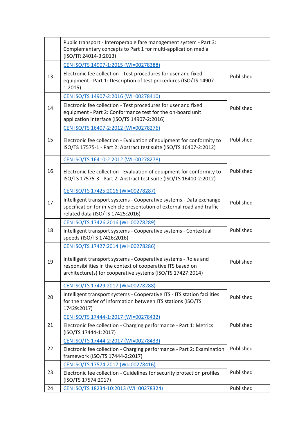|    | Public transport - Interoperable fare management system - Part 3:<br>Complementary concepts to Part 1 for multi-application media<br>(ISO/TR 24014-3:2013)                                    |           |
|----|-----------------------------------------------------------------------------------------------------------------------------------------------------------------------------------------------|-----------|
|    | CEN ISO/TS 14907-1:2015 (WI=00278388)                                                                                                                                                         |           |
| 13 | Electronic fee collection - Test procedures for user and fixed<br>equipment - Part 1: Description of test procedures (ISO/TS 14907-<br>1:2015                                                 | Published |
|    | CEN ISO/TS 14907-2:2016 (WI=00278410)                                                                                                                                                         |           |
| 14 | Electronic fee collection - Test procedures for user and fixed<br>equipment - Part 2: Conformance test for the on-board unit<br>application interface (ISO/TS 14907-2:2016)                   | Published |
|    | CEN ISO/TS 16407-2:2012 (WI=00278276)                                                                                                                                                         |           |
| 15 | Electronic fee collection - Evaluation of equipment for conformity to<br>ISO/TS 17575-1 - Part 2: Abstract test suite (ISO/TS 16407-2:2012)                                                   | Published |
|    | CEN ISO/TS 16410-2:2012 (WI=00278278)                                                                                                                                                         |           |
| 16 | Electronic fee collection - Evaluation of equipment for conformity to<br>ISO/TS 17575-3 - Part 2: Abstract test suite (ISO/TS 16410-2:2012)                                                   | Published |
|    | CEN ISO/TS 17425:2016 (WI=00278287)                                                                                                                                                           |           |
| 17 | Intelligent transport systems - Cooperative systems - Data exchange<br>specification for in-vehicle presentation of external road and traffic<br>related data (ISO/TS 17425:2016)             | Published |
|    | CEN ISO/TS 17426:2016 (WI=00278289)                                                                                                                                                           |           |
| 18 | Intelligent transport systems - Cooperative systems - Contextual<br>speeds (ISO/TS 17426:2016)                                                                                                | Published |
|    | CEN ISO/TS 17427:2014 (WI=00278286)                                                                                                                                                           |           |
| 19 | Intelligent transport systems - Cooperative systems - Roles and<br>responsibilities in the context of cooperative ITS based on<br>architecture(s) for cooperative systems (ISO/TS 17427:2014) | Published |
|    | CEN ISO/TS 17429:2017 (WI=00278288)                                                                                                                                                           |           |
| 20 | Intelligent transport systems - Cooperative ITS - ITS station facilities<br>for the transfer of information between ITS stations (ISO/TS<br>17429:2017)                                       | Published |
|    | CEN ISO/TS 17444-1:2017 (WI=00278432)                                                                                                                                                         |           |
| 21 | Electronic fee collection - Charging performance - Part 1: Metrics<br>(ISO/TS 17444-1:2017)                                                                                                   | Published |
|    | CEN ISO/TS 17444-2:2017 (WI=00278433)                                                                                                                                                         |           |
| 22 | Electronic fee collection - Charging performance - Part 2: Examination<br>framework (ISO/TS 17444-2:2017)                                                                                     | Published |
|    | CEN ISO/TS 17574:2017 (WI=00278416)                                                                                                                                                           |           |
| 23 | Electronic fee collection - Guidelines for security protection profiles<br>(ISO/TS 17574:2017)                                                                                                | Published |
| 24 | CEN ISO/TS 18234-10:2013 (WI=00278324)                                                                                                                                                        | Published |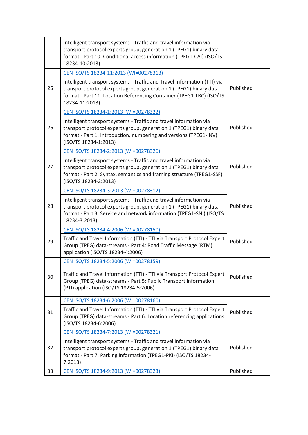|    | Intelligent transport systems - Traffic and travel information via<br>transport protocol experts group, generation 1 (TPEG1) binary data<br>format - Part 10: Conditional access information (TPEG1-CAI) (ISO/TS<br>18234-10:2013)        |           |
|----|-------------------------------------------------------------------------------------------------------------------------------------------------------------------------------------------------------------------------------------------|-----------|
|    | CEN ISO/TS 18234-11:2013 (WI=00278313)                                                                                                                                                                                                    |           |
| 25 | Intelligent transport systems - Traffic and Travel Information (TTI) via<br>transport protocol experts group, generation 1 (TPEG1) binary data<br>format - Part 11: Location Referencing Container (TPEG1-LRC) (ISO/TS<br>18234-11:2013)  | Published |
|    | CEN ISO/TS 18234-1:2013 (WI=00278322)                                                                                                                                                                                                     |           |
| 26 | Intelligent transport systems - Traffic and travel information via<br>transport protocol experts group, generation 1 (TPEG1) binary data<br>format - Part 1: Introduction, numbering and versions (TPEG1-INV)<br>(ISO/TS 18234-1:2013)    | Published |
|    | CEN ISO/TS 18234-2:2013 (WI=00278326)                                                                                                                                                                                                     |           |
| 27 | Intelligent transport systems - Traffic and travel information via<br>transport protocol experts group, generation 1 (TPEG1) binary data<br>format - Part 2: Syntax, semantics and framing structure (TPEG1-SSF)<br>(ISO/TS 18234-2:2013) | Published |
|    | CEN ISO/TS 18234-3:2013 (WI=00278312)                                                                                                                                                                                                     |           |
| 28 | Intelligent transport systems - Traffic and travel information via<br>transport protocol experts group, generation 1 (TPEG1) binary data<br>format - Part 3: Service and network information (TPEG1-SNI) (ISO/TS<br>18234-3:2013)         | Published |
|    | CEN ISO/TS 18234-4:2006 (WI=00278150)                                                                                                                                                                                                     |           |
| 29 | Traffic and Travel Information (TTI) - TTI via Transport Protocol Expert<br>Group (TPEG) data-streams - Part 4: Road Traffic Message (RTM)<br>application (ISO/TS 18234-4:2006)                                                           | Published |
|    | CEN ISO/TS 18234-5:2006 (WI=00278159)                                                                                                                                                                                                     |           |
| 30 | Traffic and Travel Information (TTI) - TTI via Transport Protocol Expert<br>Group (TPEG) data-streams - Part 5: Public Transport Information<br>(PTI) application (ISO/TS 18234-5:2006)                                                   | Published |
|    | CEN ISO/TS 18234-6:2006 (WI=00278160)                                                                                                                                                                                                     |           |
| 31 | Traffic and Travel Information (TTI) - TTI via Transport Protocol Expert<br>Group (TPEG) data-streams - Part 6: Location referencing applications<br>(ISO/TS 18234-6:2006)                                                                | Published |
|    | CEN ISO/TS 18234-7:2013 (WI=00278321)                                                                                                                                                                                                     |           |
| 32 | Intelligent transport systems - Traffic and travel information via<br>transport protocol experts group, generation 1 (TPEG1) binary data<br>format - Part 7: Parking information (TPEG1-PKI) (ISO/TS 18234-<br>7.2013)                    | Published |
| 33 | CEN ISO/TS 18234-9:2013 (WI=00278323)                                                                                                                                                                                                     | Published |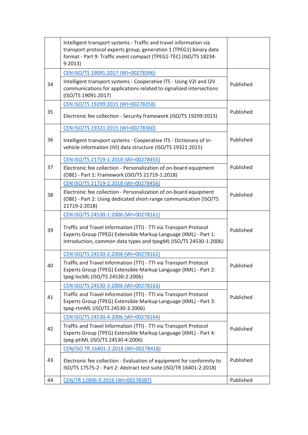|    | Intelligent transport systems - Traffic and travel information via<br>transport protocol experts group, generation 1 (TPEG1) binary data<br>format - Part 9: Traffic event compact (TPEG1-TEC) (ISO/TS 18234-<br>9:2013) |           |
|----|--------------------------------------------------------------------------------------------------------------------------------------------------------------------------------------------------------------------------|-----------|
|    | CEN ISO/TS 19091:2017 (WI=00278396)                                                                                                                                                                                      |           |
| 34 | Intelligent transport systems - Cooperative ITS - Using V2I and I2V<br>communications for applications related to signalized intersections<br>(ISO/TS 19091:2017)                                                        | Published |
|    | CEN ISO/TS 19299:2015 (WI=00278358)                                                                                                                                                                                      |           |
| 35 | Electronic fee collection - Security framework (ISO/TS 19299:2015)                                                                                                                                                       | Published |
|    | CEN ISO/TS 19321:2015 (WI=00278360)                                                                                                                                                                                      |           |
| 36 | Intelligent transport systems - Cooperative ITS - Dictionary of in-<br>vehicle information (IVI) data structure (ISO/TS 19321:2015)                                                                                      | Published |
|    | CEN ISO/TS 21719-1:2018 (WI=00278455)                                                                                                                                                                                    |           |
| 37 | Electronic fee collection - Personalization of on-board equipment<br>(OBE) - Part 1: Framework (ISO/TS 21719-1:2018)                                                                                                     | Published |
|    | CEN ISO/TS 21719-2:2018 (WI=00278456)                                                                                                                                                                                    |           |
| 38 | Electronic fee collection - Personalization of on-board equipment<br>(OBE) - Part 2: Using dedicated short-range communication (ISO/TS<br>21719-2:2018)                                                                  | Published |
|    | CEN ISO/TS 24530-1:2006 (WI=00278161)                                                                                                                                                                                    |           |
| 39 | Traffic and Travel Information (TTI) - TTI via Transport Protocol<br>Experts Group (TPEG) Extensible Markup Language (XML) - Part 1:<br>Introduction, common data types and tpegML (ISO/TS 24530-1:2006)                 | Published |
|    | CEN ISO/TS 24530-2:2006 (WI=00278162)                                                                                                                                                                                    |           |
| 40 | Traffic and Travel Information (TTI) - TTI via Transport Protocol<br>Experts Group (TPEG) Extensible Markup Language (XML) - Part 2:<br>tpeg-locML (ISO/TS 24530-2:2006)                                                 | Published |
|    | CEN ISO/TS 24530-3:2006 (WI=00278163)                                                                                                                                                                                    |           |
| 41 | Traffic and Travel Information (TTI) - TTI via Transport Protocol<br>Experts Group (TPEG) Extensible Markup Language (XML) - Part 3:<br>tpeg-rtmML (ISO/TS 24530-3:2006)                                                 | Published |
|    | CEN ISO/TS 24530-4:2006 (WI=00278164)                                                                                                                                                                                    |           |
| 42 | Traffic and Travel Information (TTI) - TTI via Transport Protocol<br>Experts Group (TPEG) Extensible Markup Language (XML) - Part 4:<br>tpeg-ptiML (ISO/TS 24530-4:2006)                                                 | Published |
|    | CEN/ISO TR 16401-2:2018 (WI=00278418)                                                                                                                                                                                    |           |
| 43 | Electronic fee collection - Evaluation of equipment for conformity to<br>ISO/TS 17575-2 - Part 2: Abstract test suite (ISO/TR 16401-2:2018)                                                                              | Published |
| 44 | CEN/TR 12896-9:2016 (WI=00278387)                                                                                                                                                                                        | Published |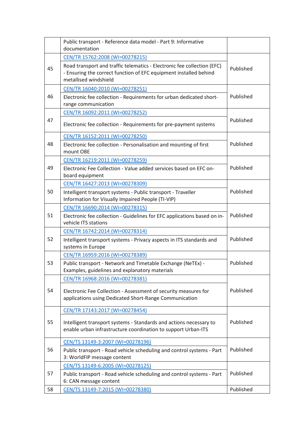|    | Public transport - Reference data model - Part 9: Informative<br>documentation                                                                                        |           |
|----|-----------------------------------------------------------------------------------------------------------------------------------------------------------------------|-----------|
|    | CEN/TR 15762:2008 (WI=00278215)                                                                                                                                       |           |
| 45 | Road transport and traffic telematics - Electronic fee collection (EFC)<br>- Ensuring the correct function of EFC equipment installed behind<br>metallised windshield | Published |
|    | CEN/TR 16040:2010 (WI=00278251)                                                                                                                                       |           |
| 46 | Electronic fee collection - Requirements for urban dedicated short-<br>range communication                                                                            | Published |
|    | CEN/TR 16092:2011 (WI=00278252)                                                                                                                                       |           |
| 47 | Electronic fee collection - Requirements for pre-payment systems                                                                                                      | Published |
|    | CEN/TR 16152:2011 (WI=00278250)                                                                                                                                       |           |
| 48 | Electronic fee collection - Personalisation and mounting of first<br>mount OBE                                                                                        | Published |
|    | CEN/TR 16219:2011 (WI=00278259)                                                                                                                                       |           |
| 49 | Electronic Fee Collection - Value added services based on EFC on-<br>board equipment                                                                                  | Published |
|    | CEN/TR 16427:2013 (WI=00278309)                                                                                                                                       |           |
| 50 | Intelligent transport systems - Public transport - Traveller<br>Information for Visually Impaired People (TI-VIP)                                                     | Published |
|    | CEN/TR 16690:2014 (WI=00278315)                                                                                                                                       |           |
| 51 | Electronic fee collection - Guidelines for EFC applications based on in-<br>vehicle ITS stations                                                                      | Published |
|    | CEN/TR 16742:2014 (WI=00278314)                                                                                                                                       |           |
| 52 | Intelligent transport systems - Privacy aspects in ITS standards and<br>systems in Europe                                                                             | Published |
|    | CEN/TR 16959:2016 (WI=00278389)                                                                                                                                       |           |
| 53 | Public transport - Network and Timetable Exchange (NeTEx) -<br>Examples, guidelines and explanatory materials                                                         | Published |
|    | CEN/TR 16968:2016 (WI=00278381)                                                                                                                                       |           |
| 54 | Electronic Fee Collection - Assessment of security measures for<br>applications using Dedicated Short-Range Communication                                             | Published |
|    | CEN/TR 17143:2017 (WI=00278454)                                                                                                                                       |           |
| 55 | Intelligent transport systems - Standards and actions necessary to<br>enable urban infrastructure coordination to support Urban-ITS                                   | Published |
|    | CEN/TS 13149-3:2007 (WI=00278196)                                                                                                                                     |           |
| 56 | Public transport - Road vehicle scheduling and control systems - Part<br>3: WorldFIP message content                                                                  | Published |
|    | CEN/TS 13149-6:2005 (WI=00278125)                                                                                                                                     |           |
| 57 | Public transport - Road vehicle scheduling and control systems - Part<br>6: CAN message content                                                                       | Published |
| 58 | CEN/TS 13149-7:2015 (WI=00278380)                                                                                                                                     | Published |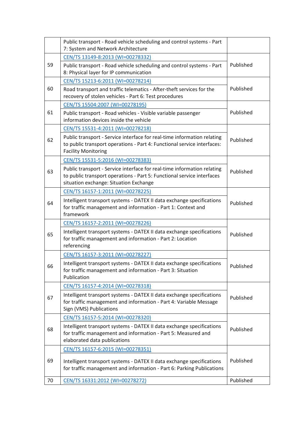|    | Public transport - Road vehicle scheduling and control systems - Part<br>7: System and Network Architecture                                                                                 |           |
|----|---------------------------------------------------------------------------------------------------------------------------------------------------------------------------------------------|-----------|
|    | CEN/TS 13149-8:2013 (WI=00278332)                                                                                                                                                           |           |
| 59 | Public transport - Road vehicle scheduling and control systems - Part<br>8: Physical layer for IP communication                                                                             | Published |
|    | CEN/TS 15213-6:2011 (WI=00278214)                                                                                                                                                           |           |
| 60 | Road transport and traffic telematics - After-theft services for the<br>recovery of stolen vehicles - Part 6: Test procedures                                                               | Published |
|    | CEN/TS 15504:2007 (WI=00278195)                                                                                                                                                             |           |
| 61 | Public transport - Road vehicles - Visible variable passenger<br>information devices inside the vehicle                                                                                     | Published |
|    | CEN/TS 15531-4:2011 (WI=00278218)                                                                                                                                                           |           |
| 62 | Public transport - Service interface for real-time information relating<br>to public transport operations - Part 4: Functional service interfaces:<br><b>Facility Monitoring</b>            | Published |
|    | CEN/TS 15531-5:2016 (WI=00278383)                                                                                                                                                           |           |
| 63 | Public transport - Service interface for real-time information relating<br>to public transport operations - Part 5: Functional service interfaces<br>situation exchange: Situation Exchange | Published |
|    | CEN/TS 16157-1:2011 (WI=00278225)                                                                                                                                                           |           |
| 64 | Intelligent transport systems - DATEX II data exchange specifications<br>for traffic management and information - Part 1: Context and<br>framework                                          | Published |
|    | CEN/TS 16157-2:2011 (WI=00278226)                                                                                                                                                           |           |
| 65 | Intelligent transport systems - DATEX II data exchange specifications<br>for traffic management and information - Part 2: Location<br>referencing                                           | Published |
|    | CEN/TS 16157-3:2011 (WI=00278227)                                                                                                                                                           |           |
| 66 | Intelligent transport systems - DATEX II data exchange specifications<br>for traffic management and information - Part 3: Situation<br>Publication                                          | Published |
|    | CEN/TS 16157-4:2014 (WI=00278318)                                                                                                                                                           |           |
| 67 | Intelligent transport systems - DATEX II data exchange specifications<br>for traffic management and information - Part 4: Variable Message<br>Sign (VMS) Publications                       | Published |
|    | CEN/TS 16157-5:2014 (WI=00278320)                                                                                                                                                           |           |
| 68 | Intelligent transport systems - DATEX II data exchange specifications<br>for traffic management and information - Part 5: Measured and<br>elaborated data publications                      | Published |
|    | CEN/TS 16157-6:2015 (WI=00278351)                                                                                                                                                           |           |
| 69 | Intelligent transport systems - DATEX II data exchange specifications<br>for traffic management and information - Part 6: Parking Publications                                              | Published |
| 70 | CEN/TS 16331:2012 (WI=00278272)                                                                                                                                                             | Published |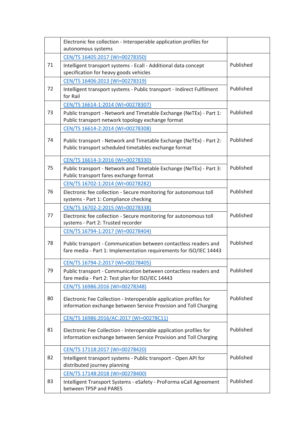|    | Electronic fee collection - Interoperable application profiles for<br>autonomous systems                                               |           |
|----|----------------------------------------------------------------------------------------------------------------------------------------|-----------|
|    | CEN/TS 16405:2017 (WI=00278350)                                                                                                        |           |
| 71 | Intelligent transport systems - Ecall - Additional data concept<br>specification for heavy goods vehicles                              | Published |
|    | CEN/TS 16406:2013 (WI=00278319)                                                                                                        |           |
| 72 | Intelligent transport systems - Public transport - Indirect Fulfilment<br>for Rail                                                     | Published |
|    | CEN/TS 16614-1:2014 (WI=00278307)                                                                                                      |           |
| 73 | Public transport - Network and Timetable Exchange (NeTEx) - Part 1:<br>Public transport network topology exchange format               | Published |
|    | CEN/TS 16614-2:2014 (WI=00278308)                                                                                                      |           |
| 74 | Public transport - Network and Timetable Exchange (NeTEx) - Part 2:<br>Public transport scheduled timetables exchange format           | Published |
|    | CEN/TS 16614-3:2016 (WI=00278330)                                                                                                      |           |
| 75 | Public transport - Network and Timetable Exchange (NeTEx) - Part 3:<br>Public transport fares exchange format                          | Published |
|    | CEN/TS 16702-1:2014 (WI=00278282)                                                                                                      |           |
| 76 | Electronic fee collection - Secure monitoring for autonomous toll<br>systems - Part 1: Compliance checking                             | Published |
|    | CEN/TS 16702-2:2015 (WI=00278338)                                                                                                      |           |
| 77 | Electronic fee collection - Secure monitoring for autonomous toll<br>systems - Part 2: Trusted recorder                                | Published |
|    | CEN/TS 16794-1:2017 (WI=00278404)                                                                                                      |           |
| 78 | Public transport - Communication between contactless readers and<br>fare media - Part 1: Implementation requirements for ISO/IEC 14443 | Published |
|    | CEN/TS 16794-2:2017 (WI=00278405)                                                                                                      |           |
| 79 | Public transport - Communication between contactless readers and<br>fare media - Part 2: Test plan for ISO/IEC 14443                   | Published |
|    | CEN/TS 16986:2016 (WI=00278348)                                                                                                        |           |
| 80 | Electronic Fee Collection - Interoperable application profiles for<br>information exchange between Service Provision and Toll Charging | Published |
|    | CEN/TS 16986:2016/AC:2017 (WI=00278C11)                                                                                                |           |
| 81 | Electronic Fee Collection - Interoperable application profiles for<br>information exchange between Service Provision and Toll Charging | Published |
|    | CEN/TS 17118:2017 (WI=00278420)                                                                                                        |           |
| 82 | Intelligent transport systems - Public transport - Open API for<br>distributed journey planning                                        | Published |
|    | CEN/TS 17148:2018 (WI=00278400)                                                                                                        |           |
| 83 | Intelligent Transport Systems - eSafety - ProForma eCall Agreement<br>between TPSP and PARES                                           | Published |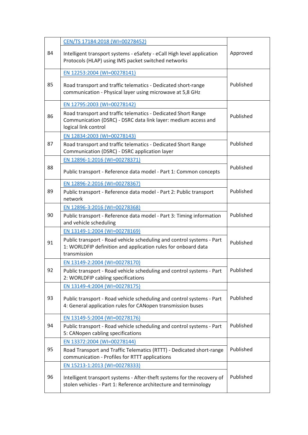|    | CEN/TS 17184:2018 (WI=00278452)                                                                                                                         |           |
|----|---------------------------------------------------------------------------------------------------------------------------------------------------------|-----------|
| 84 | Intelligent transport systems - eSafety - eCall High level application<br>Protocols (HLAP) using IMS packet switched networks                           | Approved  |
|    | EN 12253:2004 (WI=00278141)                                                                                                                             |           |
| 85 | Road transport and traffic telematics - Dedicated short-range<br>communication - Physical layer using microwave at 5,8 GHz                              | Published |
|    | EN 12795:2003 (WI=00278142)                                                                                                                             |           |
| 86 | Road transport and traffic telematics - Dedicated Short Range<br>Communication (DSRC) - DSRC data link layer: medium access and<br>logical link control | Published |
|    | EN 12834:2003 (WI=00278143)                                                                                                                             |           |
| 87 | Road transport and traffic telematics - Dedicated Short Range<br>Communication (DSRC) - DSRC application layer                                          | Published |
|    | EN 12896-1:2016 (WI=00278371)                                                                                                                           |           |
| 88 | Public transport - Reference data model - Part 1: Common concepts                                                                                       | Published |
|    | EN 12896-2:2016 (WI=00278367)                                                                                                                           |           |
| 89 | Public transport - Reference data model - Part 2: Public transport<br>network                                                                           | Published |
|    | EN 12896-3:2016 (WI=00278368)                                                                                                                           |           |
| 90 | Public transport - Reference data model - Part 3: Timing information<br>and vehicle scheduling                                                          | Published |
|    | EN 13149-1:2004 (WI=00278169)                                                                                                                           |           |
| 91 | Public transport - Road vehicle scheduling and control systems - Part<br>1: WORLDFIP definition and application rules for onboard data<br>transmission  | Published |
|    | EN 13149-2:2004 (WI=00278170)                                                                                                                           |           |
| 92 | Public transport - Road vehicle scheduling and control systems - Part<br>2: WORLDFIP cabling specifications                                             | Published |
|    | EN 13149-4:2004 (WI=00278175)                                                                                                                           |           |
| 93 | Public transport - Road vehicle scheduling and control systems - Part<br>4: General application rules for CANopen transmission buses                    | Published |
|    | EN 13149-5:2004 (WI=00278176)                                                                                                                           |           |
| 94 | Public transport - Road vehicle scheduling and control systems - Part<br>5: CANopen cabling specifications                                              | Published |
|    | EN 13372:2004 (WI=00278144)                                                                                                                             |           |
| 95 | Road Transport and Traffic Telematics (RTTT) - Dedicated short-range<br>communication - Profiles for RTTT applications                                  | Published |
|    | EN 15213-1:2013 (WI=00278333)                                                                                                                           |           |
| 96 | Intelligent transport systems - After-theft systems for the recovery of<br>stolen vehicles - Part 1: Reference architecture and terminology             | Published |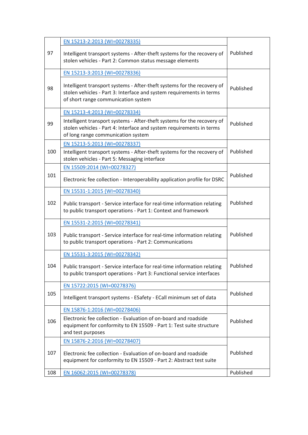|     | EN 15213-2:2013 (WI=00278335)                                                                                                                                                          |           |
|-----|----------------------------------------------------------------------------------------------------------------------------------------------------------------------------------------|-----------|
| 97  | Intelligent transport systems - After-theft systems for the recovery of<br>stolen vehicles - Part 2: Common status message elements                                                    | Published |
|     | EN 15213-3:2013 (WI=00278336)                                                                                                                                                          |           |
| 98  | Intelligent transport systems - After-theft systems for the recovery of<br>stolen vehicles - Part 3: Interface and system requirements in terms<br>of short range communication system | Published |
|     | EN 15213-4:2013 (WI=00278334)                                                                                                                                                          |           |
| 99  | Intelligent transport systems - After-theft systems for the recovery of<br>stolen vehicles - Part 4: Interface and system requirements in terms<br>of long range communication system  | Published |
|     | EN 15213-5:2013 (WI=00278337)                                                                                                                                                          |           |
| 100 | Intelligent transport systems - After-theft systems for the recovery of<br>stolen vehicles - Part 5: Messaging interface                                                               | Published |
|     | EN 15509:2014 (WI=00278327)                                                                                                                                                            |           |
| 101 | Electronic fee collection - Interoperability application profile for DSRC                                                                                                              | Published |
|     | EN 15531-1:2015 (WI=00278340)                                                                                                                                                          |           |
| 102 | Public transport - Service interface for real-time information relating<br>to public transport operations - Part 1: Context and framework                                              | Published |
|     | EN 15531-2:2015 (WI=00278341)                                                                                                                                                          |           |
| 103 | Public transport - Service interface for real-time information relating<br>to public transport operations - Part 2: Communications                                                     | Published |
|     | EN 15531-3:2015 (WI=00278342)                                                                                                                                                          |           |
| 104 | Public transport - Service interface for real-time information relating<br>to public transport operations - Part 3: Functional service interfaces                                      | Published |
|     | EN 15722:2015 (WI=00278376)                                                                                                                                                            |           |
| 105 | Intelligent transport systems - ESafety - ECall minimum set of data                                                                                                                    | Published |
|     | EN 15876-1:2016 (WI=00278406)                                                                                                                                                          |           |
| 106 | Electronic fee collection - Evaluation of on-board and roadside<br>equipment for conformity to EN 15509 - Part 1: Test suite structure<br>and test purposes                            | Published |
|     | EN 15876-2:2016 (WI=00278407)                                                                                                                                                          |           |
| 107 | Electronic fee collection - Evaluation of on-board and roadside<br>equipment for conformity to EN 15509 - Part 2: Abstract test suite                                                  | Published |
| 108 | EN 16062:2015 (WI=00278378)                                                                                                                                                            | Published |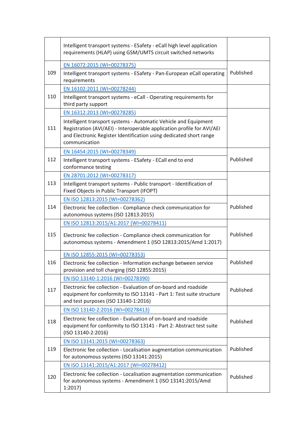|     | Intelligent transport systems - ESafety - eCall high level application<br>requirements (HLAP) using GSM/UMTS circuit switched networks                                                                                           |           |  |
|-----|----------------------------------------------------------------------------------------------------------------------------------------------------------------------------------------------------------------------------------|-----------|--|
| 109 | EN 16072:2015 (WI=00278375)<br>Intelligent transport systems - ESafety - Pan-European eCall operating<br>requirements                                                                                                            | Published |  |
|     | EN 16102:2011 (WI=00278244)                                                                                                                                                                                                      |           |  |
| 110 | Intelligent transport systems - eCall - Operating requirements for<br>third party support                                                                                                                                        |           |  |
|     | EN 16312:2013 (WI=00278285)                                                                                                                                                                                                      |           |  |
| 111 | Intelligent transport systems - Automatic Vehicle and Equipment<br>Registration (AVI/AEI) - Interoperable application profile for AVI/AEI<br>and Electronic Register Identification using dedicated short range<br>communication |           |  |
|     | EN 16454:2015 (WI=00278349)                                                                                                                                                                                                      |           |  |
| 112 | Intelligent transport systems - ESafety - ECall end to end<br>conformance testing                                                                                                                                                | Published |  |
|     | EN 28701:2012 (WI=00278317)                                                                                                                                                                                                      |           |  |
| 113 | Intelligent transport systems - Public transport - Identification of<br>Fixed Objects in Public Transport (IFOPT)                                                                                                                |           |  |
|     | EN ISO 12813:2015 (WI=00278362)                                                                                                                                                                                                  |           |  |
| 114 | Electronic fee collection - Compliance check communication for<br>autonomous systems (ISO 12813:2015)                                                                                                                            | Published |  |
|     | EN ISO 12813:2015/A1:2017 (WI=00278411)                                                                                                                                                                                          |           |  |
| 115 | Electronic fee collection - Compliance check communication for<br>autonomous systems - Amendment 1 (ISO 12813:2015/Amd 1:2017)                                                                                                   | Published |  |
|     | EN ISO 12855:2015 (WI=00278353)                                                                                                                                                                                                  |           |  |
| 116 | Electronic fee collection - Information exchange between service<br>provision and toll charging (ISO 12855:2015)                                                                                                                 | Published |  |
|     | EN ISO 13140-1:2016 (WI=00278390)                                                                                                                                                                                                |           |  |
| 117 | Electronic fee collection - Evaluation of on-board and roadside<br>equipment for conformity to ISO 13141 - Part 1: Test suite structure<br>and test purposes (ISO 13140-1:2016)                                                  | Published |  |
|     | EN ISO 13140-2:2016 (WI=00278413)                                                                                                                                                                                                |           |  |
| 118 | Electronic fee collection - Evaluation of on-board and roadside<br>equipment for conformity to ISO 13141 - Part 2: Abstract test suite<br>(ISO 13140-2:2016)                                                                     | Published |  |
|     | EN ISO 13141:2015 (WI=00278363)                                                                                                                                                                                                  |           |  |
| 119 | Electronic fee collection - Localisation augmentation communication<br>for autonomous systems (ISO 13141:2015)                                                                                                                   | Published |  |
|     | EN ISO 13141:2015/A1:2017 (WI=00278412)                                                                                                                                                                                          |           |  |
| 120 | Electronic fee collection - Localisation augmentation communication<br>for autonomous systems - Amendment 1 (ISO 13141:2015/Amd<br>1:2017                                                                                        | Published |  |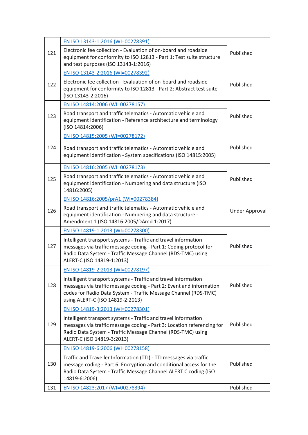|     | EN ISO 13143-1:2016 (WI=00278391)                                                                                                                                                                                                            |                |
|-----|----------------------------------------------------------------------------------------------------------------------------------------------------------------------------------------------------------------------------------------------|----------------|
| 121 | Electronic fee collection - Evaluation of on-board and roadside<br>equipment for conformity to ISO 12813 - Part 1: Test suite structure<br>and test purposes (ISO 13143-1:2016)                                                              | Published      |
|     | EN ISO 13143-2:2016 (WI=00278392)                                                                                                                                                                                                            |                |
| 122 | Electronic fee collection - Evaluation of on-board and roadside<br>equipment for conformity to ISO 12813 - Part 2: Abstract test suite<br>(ISO 13143-2:2016)                                                                                 | Published      |
|     | EN ISO 14814:2006 (WI=00278157)                                                                                                                                                                                                              |                |
| 123 | Road transport and traffic telematics - Automatic vehicle and<br>equipment identification - Reference architecture and terminology<br>(ISO 14814:2006)                                                                                       | Published      |
|     | EN ISO 14815:2005 (WI=00278172)                                                                                                                                                                                                              |                |
| 124 | Road transport and traffic telematics - Automatic vehicle and<br>equipment identification - System specifications (ISO 14815:2005)                                                                                                           | Published      |
|     | EN ISO 14816:2005 (WI=00278173)                                                                                                                                                                                                              |                |
| 125 | Road transport and traffic telematics - Automatic vehicle and<br>equipment identification - Numbering and data structure (ISO<br>14816:2005)                                                                                                 | Published      |
|     | EN ISO 14816:2005/prA1 (WI=00278384)                                                                                                                                                                                                         |                |
| 126 | Road transport and traffic telematics - Automatic vehicle and<br>equipment identification - Numbering and data structure -<br>Amendment 1 (ISO 14816:2005/DAmd 1:2017)                                                                       | Under Approval |
|     | EN ISO 14819-1:2013 (WI=00278300)                                                                                                                                                                                                            |                |
| 127 | Intelligent transport systems - Traffic and travel information<br>messages via traffic message coding - Part 1: Coding protocol for<br>Radio Data System - Traffic Message Channel (RDS-TMC) using<br>ALERT-C (ISO 14819-1:2013)             | Published      |
|     | EN ISO 14819-2:2013 (WI=00278197)                                                                                                                                                                                                            |                |
| 128 | Intelligent transport systems - Traffic and travel information<br>messages via traffic message coding - Part 2: Event and information<br>codes for Radio Data System - Traffic Message Channel (RDS-TMC)<br>using ALERT-C (ISO 14819-2:2013) | Published      |
|     | EN ISO 14819-3:2013 (WI=00278301)                                                                                                                                                                                                            |                |
| 129 | Intelligent transport systems - Traffic and travel information<br>messages via traffic message coding - Part 3: Location referencing for<br>Radio Data System - Traffic Message Channel (RDS-TMC) using<br>ALERT-C (ISO 14819-3:2013)        | Published      |
|     | EN ISO 14819-6:2006 (WI=00278158)                                                                                                                                                                                                            |                |
| 130 | Traffic and Traveller Information (TTI) - TTI messages via traffic<br>message coding - Part 6: Encryption and conditional access for the<br>Radio Data System - Traffic Message Channel ALERT C coding (ISO<br>14819-6:2006)                 | Published      |
| 131 | EN ISO 14823:2017 (WI=00278394)                                                                                                                                                                                                              | Published      |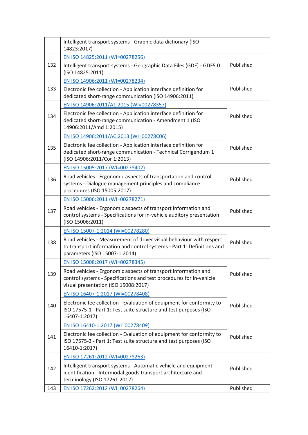|     | Intelligent transport systems - Graphic data dictionary (ISO<br>14823:2017)                                                                                                    |           |
|-----|--------------------------------------------------------------------------------------------------------------------------------------------------------------------------------|-----------|
|     | EN ISO 14825:2011 (WI=00278256)                                                                                                                                                |           |
| 132 | Intelligent transport systems - Geographic Data Files (GDF) - GDF5.0<br>(ISO 14825:2011)                                                                                       | Published |
|     | EN ISO 14906:2011 (WI=00278234)                                                                                                                                                |           |
| 133 | Electronic fee collection - Application interface definition for<br>dedicated short-range communication (ISO 14906:2011)                                                       | Published |
|     | EN ISO 14906:2011/A1:2015 (WI=00278357)                                                                                                                                        |           |
| 134 | Electronic fee collection - Application interface definition for<br>dedicated short-range communication - Amendment 1 (ISO<br>14906:2011/Amd 1:2015)                           | Published |
|     | EN ISO 14906:2011/AC:2013 (WI=00278C06)                                                                                                                                        |           |
| 135 | Electronic fee collection - Application interface definition for<br>dedicated short-range communication - Technical Corrigendum 1<br>(ISO 14906:2011/Cor 1:2013)               | Published |
|     | EN ISO 15005:2017 (WI=00278402)                                                                                                                                                |           |
| 136 | Road vehicles - Ergonomic aspects of transportation and control<br>systems - Dialogue management principles and compliance<br>procedures (ISO 15005:2017)                      | Published |
|     | EN ISO 15006:2011 (WI=00278271)                                                                                                                                                |           |
| 137 | Road vehicles - Ergonomic aspects of transport information and<br>control systems - Specifications for in-vehicle auditory presentation<br>(ISO 15006:2011)                    | Published |
|     | EN ISO 15007-1:2014 (WI=00278280)                                                                                                                                              |           |
| 138 | Road vehicles - Measurement of driver visual behaviour with respect<br>to transport information and control systems - Part 1: Definitions and<br>parameters (ISO 15007-1:2014) | Published |
|     | EN ISO 15008:2017 (WI=00278345)                                                                                                                                                |           |
| 139 | Road vehicles - Ergonomic aspects of transport information and<br>control systems - Specifications and test procedures for in-vehicle<br>visual presentation (ISO 15008:2017)  | Published |
|     | EN ISO 16407-1:2017 (WI=00278408)                                                                                                                                              |           |
| 140 | Electronic fee collection - Evaluation of equipment for conformity to<br>ISO 17575-1 - Part 1: Test suite structure and test purposes (ISO<br>16407-1:2017)                    | Published |
|     | EN ISO 16410-1:2017 (WI=00278409)                                                                                                                                              |           |
| 141 | Electronic fee collection - Evaluation of equipment for conformity to<br>ISO 17575-3 - Part 1: Test suite structure and test purposes (ISO<br>16410-1:2017)                    | Published |
|     | EN ISO 17261:2012 (WI=00278263)                                                                                                                                                |           |
| 142 | Intelligent transport systems - Automatic vehicle and equipment<br>identification - Intermodal goods transport architecture and<br>terminology (ISO 17261:2012)                | Published |
| 143 | EN ISO 17262:2012 (WI=00278264)                                                                                                                                                | Published |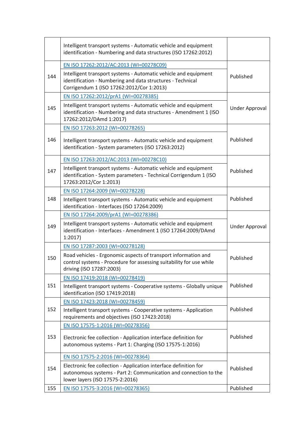|     | Intelligent transport systems - Automatic vehicle and equipment<br>identification - Numbering and data structures (ISO 17262:2012)                                         |                       |  |
|-----|----------------------------------------------------------------------------------------------------------------------------------------------------------------------------|-----------------------|--|
|     | EN ISO 17262:2012/AC:2013 (WI=00278C09)                                                                                                                                    |                       |  |
| 144 | Intelligent transport systems - Automatic vehicle and equipment<br>identification - Numbering and data structures - Technical<br>Corrigendum 1 (ISO 17262:2012/Cor 1:2013) | Published             |  |
|     | EN ISO 17262:2012/prA1 (WI=00278385)                                                                                                                                       |                       |  |
| 145 | Intelligent transport systems - Automatic vehicle and equipment<br>identification - Numbering and data structures - Amendment 1 (ISO<br>17262:2012/DAmd 1:2017)            | <b>Under Approval</b> |  |
|     | EN ISO 17263:2012 (WI=00278265)                                                                                                                                            |                       |  |
| 146 | Intelligent transport systems - Automatic vehicle and equipment<br>identification - System parameters (ISO 17263:2012)                                                     | Published             |  |
|     | EN ISO 17263:2012/AC:2013 (WI=00278C10)                                                                                                                                    |                       |  |
| 147 | Intelligent transport systems - Automatic vehicle and equipment<br>identification - System parameters - Technical Corrigendum 1 (ISO<br>17263:2012/Cor 1:2013)             | Published             |  |
|     | EN ISO 17264:2009 (WI=00278228)                                                                                                                                            | Published             |  |
| 148 | Intelligent transport systems - Automatic vehicle and equipment<br>identification - Interfaces (ISO 17264:2009)                                                            |                       |  |
|     | EN ISO 17264:2009/prA1 (WI=00278386)                                                                                                                                       |                       |  |
| 149 | Intelligent transport systems - Automatic vehicle and equipment<br>identification - Interfaces - Amendment 1 (ISO 17264:2009/DAmd<br>1:2017                                | <b>Under Approval</b> |  |
|     | EN ISO 17287:2003 (WI=00278128)                                                                                                                                            |                       |  |
| 150 | Road vehicles - Ergonomic aspects of transport information and<br>control systems - Procedure for assessing suitability for use while<br>driving (ISO 17287:2003)          | Published             |  |
|     | EN ISO 17419:2018 (WI=00278419)                                                                                                                                            |                       |  |
| 151 | Intelligent transport systems - Cooperative systems - Globally unique<br>identification (ISO 17419:2018)                                                                   | Published             |  |
|     | EN ISO 17423:2018 (WI=00278459)                                                                                                                                            |                       |  |
| 152 | Intelligent transport systems - Cooperative systems - Application<br>requirements and objectives (ISO 17423:2018)                                                          | Published             |  |
|     | EN ISO 17575-1:2016 (WI=00278356)                                                                                                                                          |                       |  |
| 153 | Electronic fee collection - Application interface definition for<br>autonomous systems - Part 1: Charging (ISO 17575-1:2016)                                               | Published             |  |
|     | EN ISO 17575-2:2016 (WI=00278364)                                                                                                                                          |                       |  |
| 154 | Electronic fee collection - Application interface definition for<br>autonomous systems - Part 2: Communication and connection to the<br>lower layers (ISO 17575-2:2016)    | Published             |  |
| 155 | EN ISO 17575-3:2016 (WI=00278365)                                                                                                                                          | Published             |  |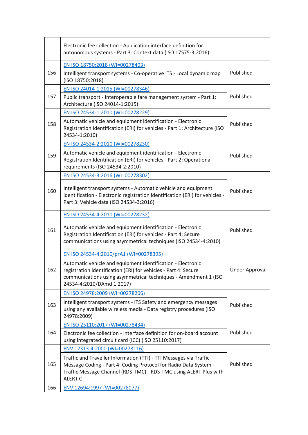|     | Electronic fee collection - Application interface definition for<br>autonomous systems - Part 3: Context data (ISO 17575-3:2016)                                                                                               |                |
|-----|--------------------------------------------------------------------------------------------------------------------------------------------------------------------------------------------------------------------------------|----------------|
|     | EN ISO 18750:2018 (WI=00278403)                                                                                                                                                                                                |                |
| 156 | Intelligent transport systems - Co-operative ITS - Local dynamic map<br>(ISO 18750:2018)                                                                                                                                       | Published      |
|     | EN ISO 24014-1:2015 (WI=00278346)                                                                                                                                                                                              |                |
| 157 | Public transport - Interoperable fare management system - Part 1:<br>Architecture (ISO 24014-1:2015)                                                                                                                           | Published      |
|     | EN ISO 24534-1:2010 (WI=00278229)                                                                                                                                                                                              |                |
| 158 | Automatic vehicle and equipment identification - Electronic<br>Registration Identification (ERI) for vehicles - Part 1: Architecture (ISO<br>24534-1:2010)                                                                     | Published      |
|     | EN ISO 24534-2:2010 (WI=00278230)                                                                                                                                                                                              |                |
| 159 | Automatic vehicle and equipment identification - Electronic<br>Registration Identification (ERI) for vehicles - Part 2: Operational<br>requirements (ISO 24534-2:2010)                                                         | Published      |
|     | EN ISO 24534-3:2016 (WI=00278302)                                                                                                                                                                                              |                |
| 160 | Intelligent transport systems - Automatic vehicle and equipment<br>identification - Electronic registration identification (ERI) for vehicles -<br>Part 3: Vehicle data (ISO 24534-3:2016)                                     | Published      |
|     | EN ISO 24534-4:2010 (WI=00278232)                                                                                                                                                                                              |                |
| 161 | Automatic vehicle and equipment identification - Electronic<br>Registration Identification (ERI) for vehicles - Part 4: Secure<br>communications using asymmetrical techniques (ISO 24534-4:2010)                              | Published      |
|     | EN ISO 24534-4:2010/prA1 (WI=00278395)                                                                                                                                                                                         |                |
| 162 | Automatic vehicle and equipment identification - Electronic<br>registration identification (ERI) for vehicles - Part 4: Secure<br>communications using asymmetrical techniques - Amendment 1 (ISO<br>24534-4:2010/DAmd 1:2017) | Under Approval |
|     | EN ISO 24978:2009 (WI=00278206)                                                                                                                                                                                                |                |
| 163 | Intelligent transport systems - ITS Safety and emergency messages<br>using any available wireless media - Data registry procedures (ISO<br>24978:2009)                                                                         | Published      |
|     | EN ISO 25110:2017 (WI=00278434)                                                                                                                                                                                                |                |
| 164 | Electronic fee collection - Interface definition for on-board account<br>using integrated circuit card (ICC) (ISO 25110:2017)                                                                                                  | Published      |
|     | ENV 12313-4:2000 (WI=00278116)                                                                                                                                                                                                 |                |
| 165 | Traffic and Traveller Information (TTI) - TTI Messages via Traffic<br>Message Coding - Part 4: Coding Protocol for Radio Data System -<br>Traffic Message Channel (RDS-TMC) - RDS-TMC using ALERT Plus with<br><b>ALERT C</b>  | Published      |
| 166 | ENV 12694:1997 (WI=00278077)                                                                                                                                                                                                   |                |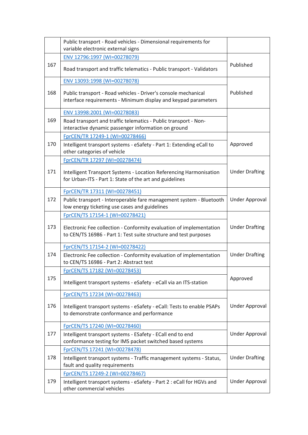|     | Public transport - Road vehicles - Dimensional requirements for<br>variable electronic external signs                                   |                       |
|-----|-----------------------------------------------------------------------------------------------------------------------------------------|-----------------------|
|     | ENV 12796:1997 (WI=00278079)                                                                                                            |                       |
| 167 | Road transport and traffic telematics - Public transport - Validators                                                                   | Published             |
|     | ENV 13093:1998 (WI=00278078)                                                                                                            |                       |
| 168 | Public transport - Road vehicles - Driver's console mechanical<br>interface requirements - Minimum display and keypad parameters        | Published             |
|     | ENV 13998:2001 (WI=00278083)                                                                                                            |                       |
| 169 | Road transport and traffic telematics - Public transport - Non-<br>interactive dynamic passenger information on ground                  |                       |
|     | FprCEN/TR 17249-1 (WI=00278466)                                                                                                         |                       |
| 170 | Intelligent transport systems - eSafety - Part 1: Extending eCall to<br>other categories of vehicle                                     | Approved              |
|     | FprCEN/TR 17297 (WI=00278474)                                                                                                           |                       |
| 171 | Intelligent Transport Systems - Location Referencing Harmonisation<br>for Urban-ITS - Part 1: State of the art and guidelines           | <b>Under Drafting</b> |
|     | FprCEN/TR 17311 (WI=00278451)                                                                                                           |                       |
| 172 | Public transport - Interoperable fare management system - Bluetooth<br>low energy ticketing use cases and guidelines                    | <b>Under Approval</b> |
|     | FprCEN/TS 17154-1 (WI=00278421)                                                                                                         |                       |
| 173 | Electronic Fee collection - Conformity evaluation of implementation<br>to CEN/TS 16986 - Part 1: Test suite structure and test purposes | <b>Under Drafting</b> |
|     | FprCEN/TS 17154-2 (WI=00278422)                                                                                                         |                       |
| 174 | Electronic Fee collection - Conformity evaluation of implementation<br>to CEN/TS 16986 - Part 2: Abstract test                          | <b>Under Drafting</b> |
|     | FprCEN/TS 17182 (WI=00278453)                                                                                                           |                       |
| 175 | Intelligent transport systems - eSafety - eCall via an ITS-station                                                                      | Approved              |
|     | FprCEN/TS 17234 (WI=00278463)                                                                                                           |                       |
| 176 | Intelligent transport systems - eSafety - eCall: Tests to enable PSAPs<br>to demonstrate conformance and performance                    | <b>Under Approval</b> |
|     | FprCEN/TS 17240 (WI=00278460)                                                                                                           |                       |
| 177 | Intelligent transport systems - ESafety - ECall end to end<br>conformance testing for IMS packet switched based systems                 | Under Approval        |
|     | FprCEN/TS 17241 (WI=00278478)                                                                                                           |                       |
| 178 | Intelligent transport systems - Traffic management systems - Status,<br>fault and quality requirements                                  | <b>Under Drafting</b> |
|     | FprCEN/TS 17249-2 (WI=00278467)                                                                                                         |                       |
| 179 | Intelligent transport systems - eSafety - Part 2 : eCall for HGVs and<br>other commercial vehicles                                      | Under Approval        |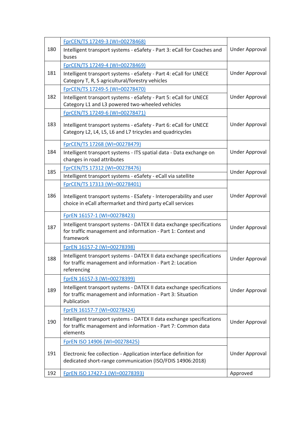|     | FprCEN/TS 17249-3 (WI=00278468)                                                                                                                    |                       |
|-----|----------------------------------------------------------------------------------------------------------------------------------------------------|-----------------------|
| 180 | Intelligent transport systems - eSafety - Part 3: eCall for Coaches and<br>buses                                                                   | Under Approval        |
|     | FprCEN/TS 17249-4 (WI=00278469)                                                                                                                    |                       |
| 181 | Intelligent transport systems - eSafety - Part 4: eCall for UNECE<br>Category T, R, S agricultural/forestry vehicles                               | <b>Under Approval</b> |
|     | FprCEN/TS 17249-5 (WI=00278470)                                                                                                                    |                       |
| 182 | Intelligent transport systems - eSafety - Part 5: eCall for UNECE<br>Category L1 and L3 powered two-wheeled vehicles                               | Under Approval        |
|     | FprCEN/TS 17249-6 (WI=00278471)                                                                                                                    |                       |
| 183 | Intelligent transport systems - eSafety - Part 6: eCall for UNECE<br>Category L2, L4, L5, L6 and L7 tricycles and quadricycles                     | Under Approval        |
|     | FprCEN/TS 17268 (WI=00278479)                                                                                                                      |                       |
| 184 | Intelligent transport systems - ITS spatial data - Data exchange on<br>changes in road attributes                                                  | Under Approval        |
|     | FprCEN/TS 17312 (WI=00278476)                                                                                                                      |                       |
| 185 | Intelligent transport systems - eSafety - eCall via satellite                                                                                      | <b>Under Approval</b> |
|     | FprCEN/TS 17313 (WI=00278401)                                                                                                                      |                       |
| 186 | Intelligent transport systems - ESafety - Interoperability and user<br>choice in eCall aftermarket and third party eCall services                  | Under Approval        |
|     | FprEN 16157-1 (WI=00278423)                                                                                                                        |                       |
| 187 | Intelligent transport systems - DATEX II data exchange specifications<br>for traffic management and information - Part 1: Context and<br>framework | Under Approval        |
|     | FprEN 16157-2 (WI=00278398)                                                                                                                        |                       |
| 188 | Intelligent transport systems - DATEX II data exchange specifications<br>for traffic management and information - Part 2: Location<br>referencing  | <b>Under Approval</b> |
|     | FprEN 16157-3 (WI=00278399)                                                                                                                        |                       |
| 189 | Intelligent transport systems - DATEX II data exchange specifications<br>for traffic management and information - Part 3: Situation<br>Publication | Under Approval        |
|     | FprEN 16157-7 (WI=00278424)                                                                                                                        |                       |
| 190 | Intelligent transport systems - DATEX II data exchange specifications<br>for traffic management and information - Part 7: Common data<br>elements  | Under Approval        |
|     | FprEN ISO 14906 (WI=00278425)                                                                                                                      |                       |
| 191 | Electronic fee collection - Application interface definition for<br>dedicated short-range communication (ISO/FDIS 14906:2018)                      | Under Approval        |
| 192 | FprEN ISO 17427-1 (WI=00278393)                                                                                                                    | Approved              |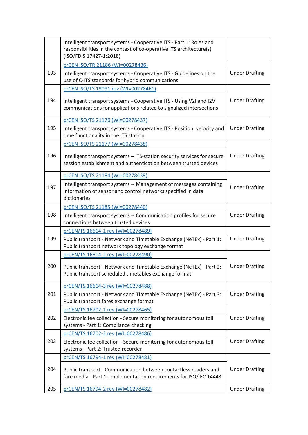|     | Intelligent transport systems - Cooperative ITS - Part 1: Roles and<br>responsibilities in the context of co-operative ITS architecture(s)<br>(ISO/FDIS 17427-1:2018) |                       |
|-----|-----------------------------------------------------------------------------------------------------------------------------------------------------------------------|-----------------------|
|     | prCEN ISO/TR 21186 (WI=00278436)                                                                                                                                      |                       |
| 193 | Intelligent transport systems - Cooperative ITS - Guidelines on the<br>use of C-ITS standards for hybrid communications                                               | <b>Under Drafting</b> |
|     | prCEN ISO/TS 19091 rev (WI=00278461)                                                                                                                                  |                       |
| 194 | Intelligent transport systems - Cooperative ITS - Using V2I and I2V<br>communications for applications related to signalized intersections                            | <b>Under Drafting</b> |
|     | prCEN ISO/TS 21176 (WI=00278437)                                                                                                                                      |                       |
| 195 | Intelligent transport systems - Cooperative ITS - Position, velocity and<br>time functionality in the ITS station                                                     | <b>Under Drafting</b> |
|     | prCEN ISO/TS 21177 (WI=00278438)                                                                                                                                      |                       |
| 196 | Intelligent transport systems - ITS-station security services for secure<br>session establishment and authentication between trusted devices                          | <b>Under Drafting</b> |
|     | prCEN ISO/TS 21184 (WI=00278439)                                                                                                                                      |                       |
| 197 | Intelligent transport systems -- Management of messages containing<br>information of sensor and control networks specified in data<br>dictionaries                    | <b>Under Drafting</b> |
|     | prCEN ISO/TS 21185 (WI=00278440)                                                                                                                                      |                       |
| 198 | Intelligent transport systems -- Communication profiles for secure<br>connections between trusted devices                                                             | <b>Under Drafting</b> |
|     | prCEN/TS 16614-1 rev (WI=00278489)                                                                                                                                    |                       |
| 199 | Public transport - Network and Timetable Exchange (NeTEx) - Part 1:<br>Public transport network topology exchange format                                              | <b>Under Drafting</b> |
|     | prCEN/TS 16614-2 rev (WI=00278490)                                                                                                                                    |                       |
| 200 | Public transport - Network and Timetable Exchange (NeTEx) - Part 2:<br>Public transport scheduled timetables exchange format                                          | <b>Under Drafting</b> |
|     | prCEN/TS 16614-3 rev (WI=00278488)                                                                                                                                    |                       |
| 201 | Public transport - Network and Timetable Exchange (NeTEx) - Part 3:<br>Public transport fares exchange format                                                         | <b>Under Drafting</b> |
|     | prCEN/TS 16702-1 rev (WI=00278465)                                                                                                                                    |                       |
| 202 | Electronic fee collection - Secure monitoring for autonomous toll<br>systems - Part 1: Compliance checking                                                            | <b>Under Drafting</b> |
|     | prCEN/TS 16702-2 rev (WI=00278486)                                                                                                                                    |                       |
| 203 | Electronic fee collection - Secure monitoring for autonomous toll<br>systems - Part 2: Trusted recorder                                                               | <b>Under Drafting</b> |
|     | prCEN/TS 16794-1 rev (WI=00278481)                                                                                                                                    |                       |
| 204 | Public transport - Communication between contactless readers and<br>fare media - Part 1: Implementation requirements for ISO/IEC 14443                                | <b>Under Drafting</b> |
| 205 | prCEN/TS 16794-2 rev (WI=00278482)                                                                                                                                    | <b>Under Drafting</b> |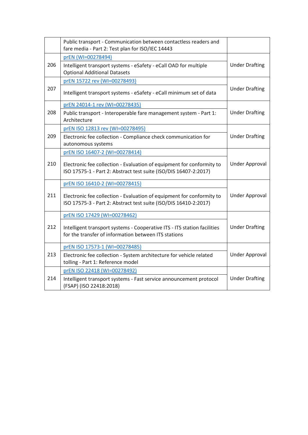|     | Public transport - Communication between contactless readers and<br>fare media - Part 2: Test plan for ISO/IEC 14443                                                        |                       |
|-----|-----------------------------------------------------------------------------------------------------------------------------------------------------------------------------|-----------------------|
| 206 | prEN (WI=00278494)<br>Intelligent transport systems - eSafety - eCall OAD for multiple<br><b>Optional Additional Datasets</b>                                               | <b>Under Drafting</b> |
| 207 | prEN 15722 rev (WI=00278493)<br>Intelligent transport systems - eSafety - eCall minimum set of data                                                                         | <b>Under Drafting</b> |
| 208 | prEN 24014-1 rev (WI=00278435)<br>Public transport - Interoperable fare management system - Part 1:<br>Architecture                                                         | <b>Under Drafting</b> |
| 209 | prEN ISO 12813 rev (WI=00278495)<br>Electronic fee collection - Compliance check communication for<br>autonomous systems                                                    | <b>Under Drafting</b> |
| 210 | prEN ISO 16407-2 (WI=00278414)<br>Electronic fee collection - Evaluation of equipment for conformity to<br>ISO 17575-1 - Part 2: Abstract test suite (ISO/DIS 16407-2:2017) | <b>Under Approval</b> |
| 211 | prEN ISO 16410-2 (WI=00278415)<br>Electronic fee collection - Evaluation of equipment for conformity to<br>ISO 17575-3 - Part 2: Abstract test suite (ISO/DIS 16410-2:2017) | Under Approval        |
| 212 | prEN ISO 17429 (WI=00278462)<br>Intelligent transport systems - Cooperative ITS - ITS station facilities<br>for the transfer of information between ITS stations            | <b>Under Drafting</b> |
| 213 | prEN ISO 17573-1 (WI=00278485)<br>Electronic fee collection - System architecture for vehicle related<br>tolling - Part 1: Reference model                                  | <b>Under Approval</b> |
| 214 | prEN ISO 22418 (WI=00278492)<br>Intelligent transport systems - Fast service announcement protocol<br>(FSAP) (ISO 22418:2018)                                               | <b>Under Drafting</b> |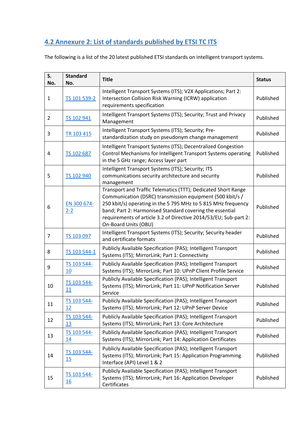## <span id="page-28-0"></span>**4.2 Annexure 2: List of standards published by ETSI TC ITS**:

The following is a list of the 20 latest published ETSI standards on intelligent transport systems.

| S.<br>No.      | <b>Standard</b><br>No.   | <b>Title</b>                                                                                                                                                                                                                                                                                                                                        | <b>Status</b> |
|----------------|--------------------------|-----------------------------------------------------------------------------------------------------------------------------------------------------------------------------------------------------------------------------------------------------------------------------------------------------------------------------------------------------|---------------|
| $\mathbf{1}$   | TS 101 539-2             | Intelligent Transport Systems (ITS); V2X Applications; Part 2:<br>Intersection Collision Risk Warning (ICRW) application<br>requirements specification                                                                                                                                                                                              | Published     |
| $\overline{2}$ | TS 102 941               | Intelligent Transport Systems (ITS); Security; Trust and Privacy<br>Management                                                                                                                                                                                                                                                                      | Published     |
| 3              | TR 103 415               | Intelligent Transport Systems (ITS); Security; Pre-<br>standardization study on pseudonym change management                                                                                                                                                                                                                                         | Published     |
| 4              | TS 102 687               | Intelligent Transport Systems (ITS); Decentralized Congestion<br>Control Mechanisms for Intelligent Transport Systems operating<br>in the 5 GHz range; Access layer part                                                                                                                                                                            | Published     |
| 5              | TS 102 940               | Intelligent Transport Systems (ITS); Security; ITS<br>communications security architecture and security<br>management                                                                                                                                                                                                                               | Published     |
| 6              | EN 300 674-<br>$2 - 2$   | Transport and Traffic Telematics (TTT); Dedicated Short Range<br>Communication (DSRC) transmission equipment (500 kbit/s /<br>250 kbit/s) operating in the 5 795 MHz to 5 815 MHz frequency<br>band; Part 2: Harmonised Standard covering the essential<br>requirements of article 3.2 of Directive 2014/53/EU; Sub-part 2:<br>On-Board Units (OBU) | Published     |
| 7              | TS 103 097               | Intelligent Transport Systems (ITS); Security; Security header<br>and certificate formats                                                                                                                                                                                                                                                           | Published     |
| 8              | TS 103 544-1             | Publicly Available Specification (PAS); Intelligent Transport<br>Systems (ITS); MirrorLink; Part 1: Connectivity                                                                                                                                                                                                                                    | Published     |
| 9              | TS 103 544-<br>10        | Publicly Available Specification (PAS); Intelligent Transport<br>Systems (ITS); MirrorLink; Part 10: UPnP Client Profile Service                                                                                                                                                                                                                    | Published     |
| 10             | TS 103 544-<br>11        | Publicly Available Specification (PAS); Intelligent Transport<br>Systems (ITS); MirrorLink; Part 11: UPnP Notification Server<br>Service                                                                                                                                                                                                            | Published     |
| 11             | TS 103 544-<br>12        | Publicly Available Specification (PAS); Intelligent Transport<br>Systems (ITS); MirrorLink; Part 12: UPnP Server Device                                                                                                                                                                                                                             | Published     |
| 12             | TS 103 544-<br><u>13</u> | Publicly Available Specification (PAS); Intelligent Transport<br>Systems (ITS); MirrorLink; Part 13: Core Architecture                                                                                                                                                                                                                              | Published     |
| 13             | TS 103 544-<br><u>14</u> | Publicly Available Specification (PAS); Intelligent Transport<br>Systems (ITS); MirrorLink; Part 14: Application Certificates                                                                                                                                                                                                                       | Published     |
| 14             | TS 103 544-<br>15        | Publicly Available Specification (PAS); Intelligent Transport<br>Systems (ITS); MirrorLink; Part 15: Application Programming<br>Interface (API) Level 1 & 2                                                                                                                                                                                         | Published     |
| 15             | TS 103 544-<br><u>16</u> | Publicly Available Specification (PAS); Intelligent Transport<br>Systems (ITS); MirrorLink; Part 16: Application Developer<br>Certificates                                                                                                                                                                                                          | Published     |